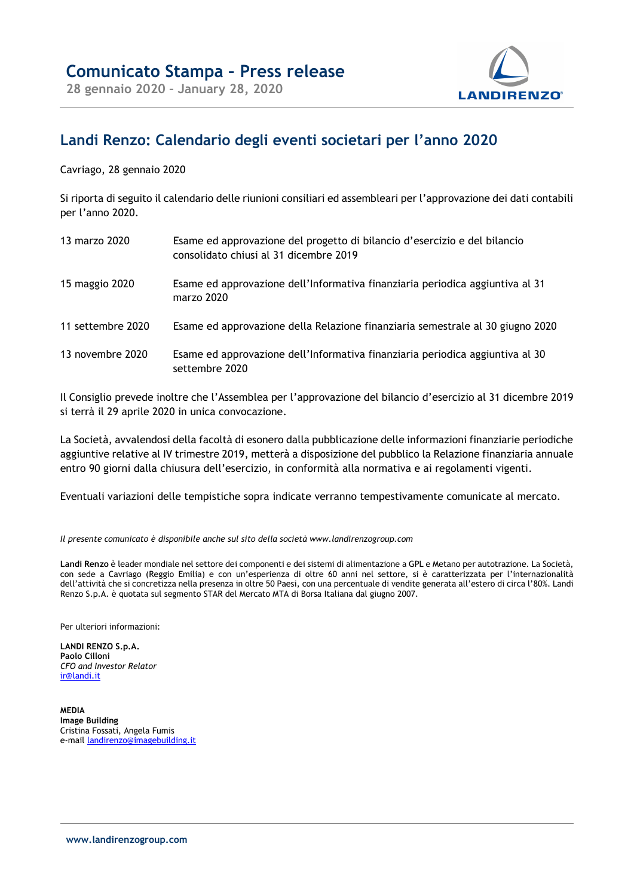

## Landi Renzo: Calendario degli eventi societari per l'anno 2020

Cavriago, 28 gennaio 2020

Si riporta di seguito il calendario delle riunioni consiliari ed assembleari per l'approvazione dei dati contabili per l'anno 2020.

| 13 marzo 2020     | Esame ed approvazione del progetto di bilancio d'esercizio e del bilancio<br>consolidato chiusi al 31 dicembre 2019 |
|-------------------|---------------------------------------------------------------------------------------------------------------------|
| 15 maggio 2020    | Esame ed approvazione dell'Informativa finanziaria periodica aggiuntiva al 31<br>marzo 2020                         |
| 11 settembre 2020 | Esame ed approvazione della Relazione finanziaria semestrale al 30 giugno 2020                                      |
| 13 novembre 2020  | Esame ed approvazione dell'Informativa finanziaria periodica aggiuntiva al 30<br>settembre 2020                     |

Il Consiglio prevede inoltre che l'Assemblea per l'approvazione del bilancio d'esercizio al 31 dicembre 2019 si terrà il 29 aprile 2020 in unica convocazione.

La Società, avvalendosi della facoltà di esonero dalla pubblicazione delle informazioni finanziarie periodiche aggiuntive relative al IV trimestre 2019, metterà a disposizione del pubblico la Relazione finanziaria annuale entro 90 giorni dalla chiusura dell'esercizio, in conformità alla normativa e ai regolamenti vigenti.

Eventuali variazioni delle tempistiche sopra indicate verranno tempestivamente comunicate al mercato.

Il presente comunicato è disponibile anche sul sito della società www.landirenzogroup.com

Landi Renzo è leader mondiale nel settore dei componenti e dei sistemi di alimentazione a GPL e Metano per autotrazione. La Società, con sede a Cavriago (Reggio Emilia) e con un'esperienza di oltre 60 anni nel settore, si è caratterizzata per l'internazionalità dell'attività che si concretizza nella presenza in oltre 50 Paesi, con una percentuale di vendite generata all'estero di circa l'80%. Landi Renzo S.p.A. è quotata sul segmento STAR del Mercato MTA di Borsa Italiana dal giugno 2007.

Per ulteriori informazioni:

LANDI RENZO S.p.A. Paolo Cilloni CFO and Investor Relator ir@landi.it

MEDIA Image Building Cristina Fossati, Angela Fumis e-mail landirenzo@imagebuilding.it